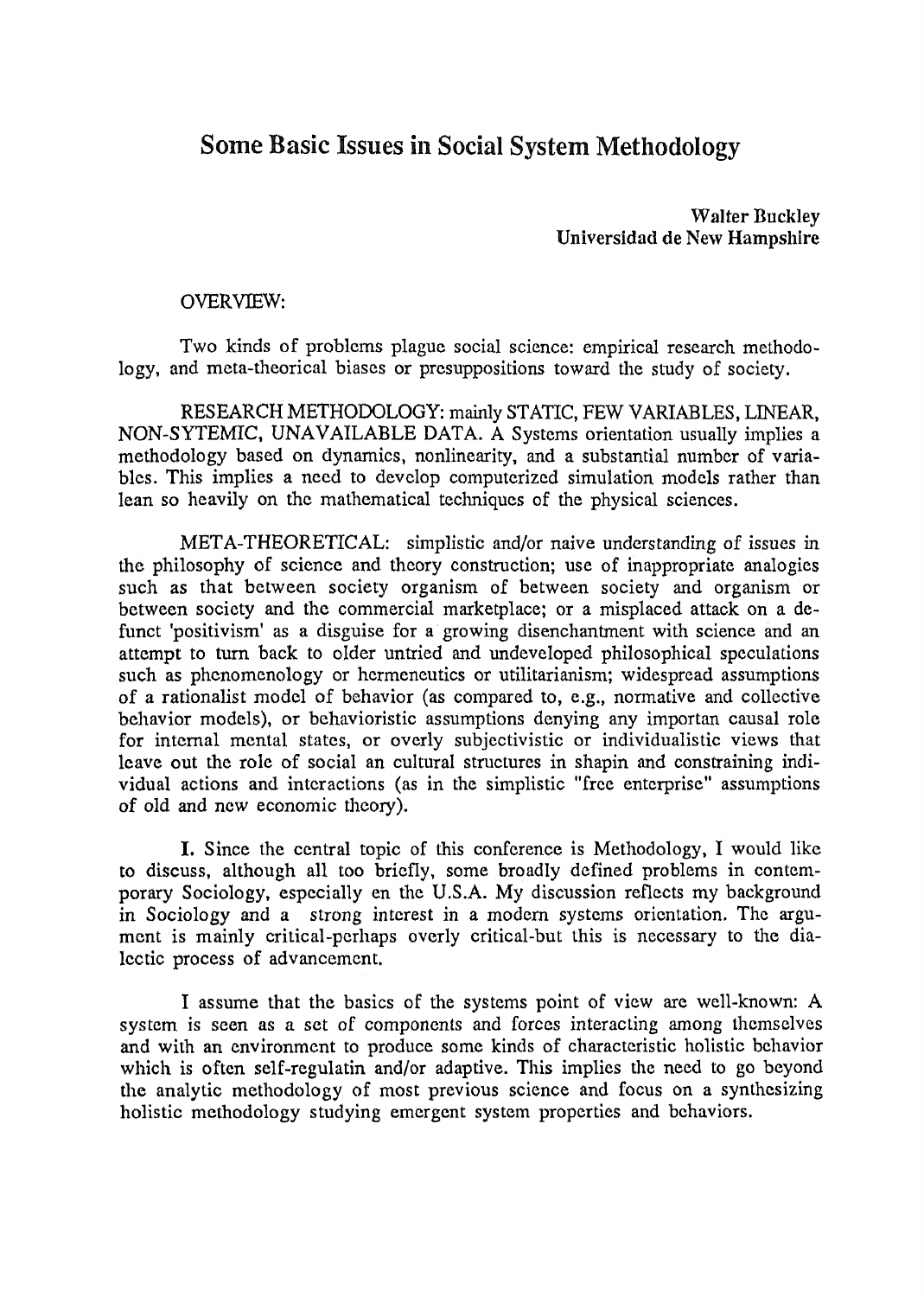## **Some Basic Issues in Social System Methodology**

**Walter Buckley** Universidad de New Hampshire

## OVERVIEW:

Two kinds of problems plague social science: empirical research methodology, and meta-theorical biases or presuppositions toward the study of society.

RESEARCH METHODOLOGY: mainly STATIC, FEW VARIABLES, LINEAR, NON-SYTEMIC, UNAVAILABLE DATA. A Systems orientation usually implies a methodology based on dynamics, nonlinearity, and a substantial number of variables. This implies a need to develop computerized simulation models rather than lean so heavily on the mathematical techniques of the physical sciences.

META-THEORETICAL: simplistic and/or naive understanding of issues in the philosophy of science and theory construction; use of inappropriate analogies such as that between society organism of between society and organism or between society and the commercial marketplace; or a misplaced attack on a defunct 'positivism' as a disguise for a growing disenchantment with science and an attempt to turn back to older untried and undeveloped philosophical speculations such as phenomenology or hermeneutics or utilitarianism; widespread assumptions of a rationalist model of behavior (as compared to, e.g., normative and collective behavior models), or behavioristic assumptions denying any importan causal role for internal mental states, or overly subjectivistic or individualistic views that leave out the role of social an cultural structures in shapin and constraining individual actions and interactions (as in the simplistic "free enterprise" assumptions of old and new economic theory).

I. Since the central topic of this conference is Methodology, I would like to discuss, although all too briefly, some broadly defined problems in contemporary Sociology, especially en the U.S.A. My discussion reflects my background in Sociology and a strong interest in a modern systems orientation. The argument is mainly critical-perhaps overly critical-but this is necessary to the dialectic process of advancement.

I assume that the basics of the systems point of view are well-known: A system is seen as a set of components and forces interacting among themselves and with an environment to produce some kinds of characteristic holistic behavior which is often self-regulatin and/or adaptive. This implies the need to go beyond the analytic methodology of most previous science and focus on a synthesizing holistic methodology studying emergent system properties and behaviors.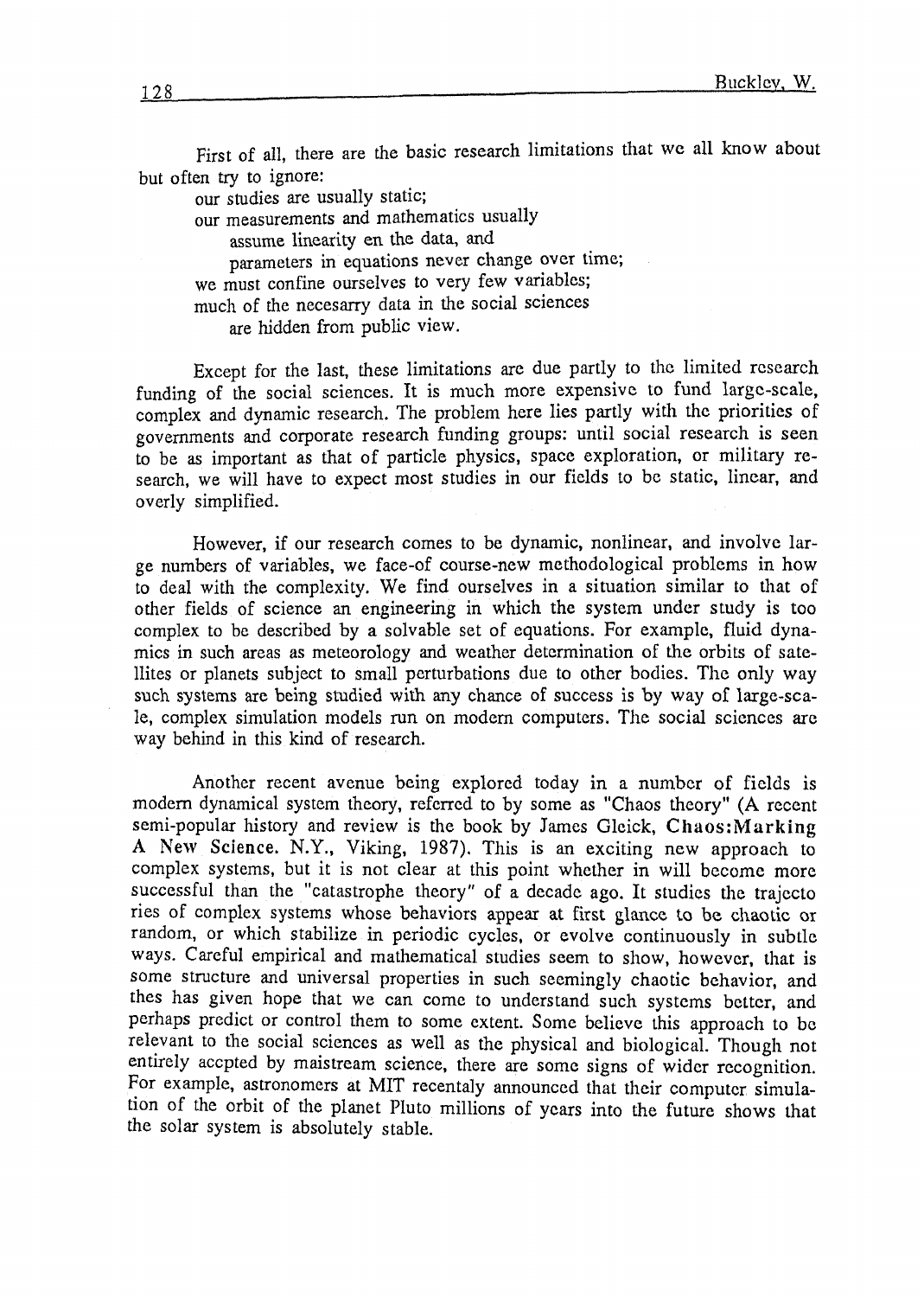First of all, there are the basic research limitations that we all know about but often try to ignore:

our studies are usually static; our measurements and mathematics usually assume linearity en the data, and parameters in equations never change over time; we must confine ourselves to very few variables; mucli of the necesarry data in the social sciences are hidden from public view.

Except for the last, these limitations are due partly to thc liniited rcscarch funding of the social sciences. It is much more expensive to fund large-scale, cornplex and dynamic research. The problem here lies partly with thc priorities of govemments and corporate research funding groups: until social rcsearch is seen to be as important as that of particle physics, space exploration, or niilitary research, we will have to expect most studies in our ficlds to be static, linear, and overly simplified.

However, if our research comes to be dynamic, nonlinear, and involve large numbers of variables, we face-of course-new mcthodological problems in how to deal with the complexity. We find ourselves in a situation similar to that of other fields of science an engineering in which the system under study is too complex to be described by a solvable set of cquations. For example, fluid dynamics in such areas as meteorology and weather determination of the orbits of satellites or planets subject to small perturbations due to other bodies. The only way such systems are being studied with any chance of success is by way **af** large-scale, complex simulation models run on modem computcrs. The social scicnces are way bchind in this kind of research.

Another recent avenue being explored today in a number of fields is modem dynarnical system theory, referrcd to by some as "Chaos thcory" **(A** reccnt semi-popular history and review is the book by James Gleick, Chaos:Marking **A New Science.** N.Y., Viking, 1987). This is **an** exciting ncw approach to complex systems, but it is not clear at this point whcther in will become more succcssful than the "catastrophe theory" of a decade ago. It studies the trajccto ries of complex systems whose behaviors appear at first glance to be chaotic or random, or which stabilize in periodic cycles, or evolve continuously in subtlc ways. Careful empirical and mathematical studies seem to show, however, that is some structure and universal properties in such seemingly chaotic behavior, and thes has given hope that we can come to understand such systems better, and perhaps predict or control them to some extent. Some believe this approach to be relevant to the social sciences as well as the physical and biological. Though not entirely accpted by maistream science, there are some signs of widcr rccognition. For example, astronomers at MIT recentaly announced that their computer simulation of the orbit of the planet Pluto millions of ycars into the futurc shows that the solar system is absolutely stable.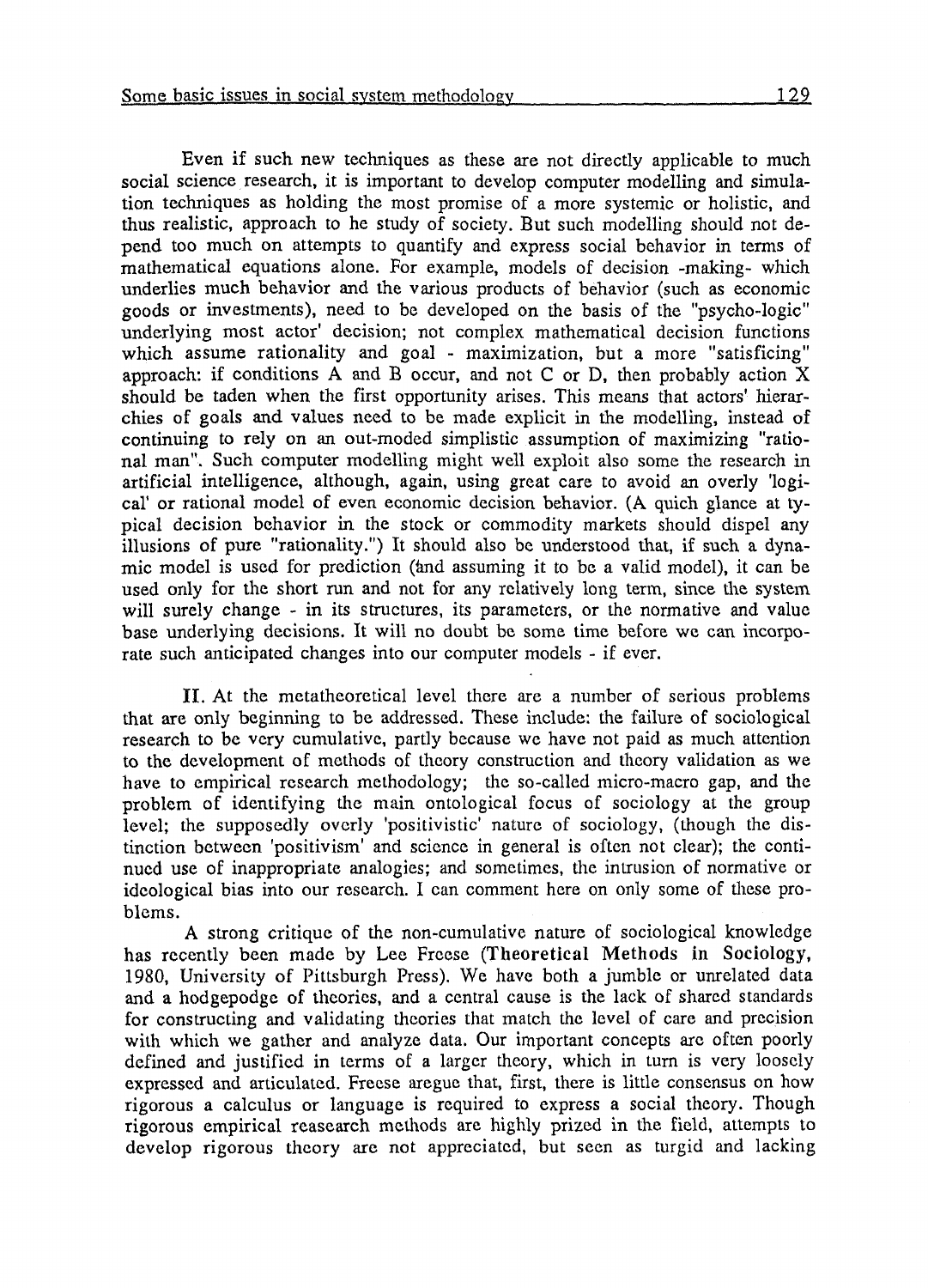Even if such new techniques as these are not directly applicable to much social science research, it is important to develop computer modelling and simulation techniques as holding the most promise of a more systemic or holistic, and thus realistic, approach to he study of socicty. But such modclling should not depcnd too much on attempts to quantify and express social behavior in terms of mathematical equations alone. For example, models of decision -making- which underlies much behavior and the various products of behavior (such as economic goods or investments), need to be developed on the basis of thc "psycho-logic" underlying most actor' decision; not complex mathematical decision functions which assume rationality and goal - maximization, but a more "satisficing" approach: if conditions **A** and B occur, and not **C** or D, then probably action X should be taden when the first opportunity arises. This means that actors' hierarchies of goals and values need to be made explicit **in** the modelling, instead of continuing to rely on an out-moded simplistic assumption of maximizing "rational man". Such computer modelling might well exploit also some the research in artificial intelligence, although, again, using great care to avoid an overly 'logical' or rational modcl of even economic decision behavior. **(A** quich glance at typica1 decision bchavior in rhe stock or commodity markets should dispel any illusions of pure "rationality.") It should also be undcrstood that, if such a dynamic model is uscd for prcdiction (ánd assuming it to bc a valid model), it can be used only for the short run and not for any relatively long term, since the system will surely change - in its structures, its parameters, or the normative and value base underlying decisions. It will no doubt be some time before wc can incorpo**rate** such anticipated changes into our computer models - if ever.

II. At the metatheoretical level there are a number of serious problems that are only beginning to bc addrcssed. Thesc include: the failure of sociological research to be very cumulative, partly because we have not paid as much attention to the dcvelopment of mcthods of thcory construction and thcary validation as we have to empirical research methodology; the so-called micro-macro gap, and the problem of identifying the main ontological focus of sociology at the group level; the supposcdly ovcrly 'positivistic' naturc of sociology, (though the distinction bctwccn 'positivisin' and scicnce in general is oftcn not clear); thc continucd use of inappropriate analogies; and sometimes, the intrusion of normative or idcological bias into our research. I can comment here on only some of these problcms.

**A** strong critique of the non-cumulativc narure of sociological knowlcdge has recently been made by Lee Freese (Theoretical Methods in Sociology, 1980, Univcrsity of I'ittsburgh Press). Wc have both a jumblc or unrelated data and a hodgepodge of theories, and a central cause is the lack of shared standards for constructing and validating theories that match thc level of caro and prccision with which we gather and analyze data. Our important concepts are often poorly defined and justified in terms of a larger theory, which in turn is very loosely expressed and articulated. Freese aregue that, first, there is little consensus on how rigorous a calculus or languagc is rcquired to exprcss a social thcory. Though rigorous empirical rcasearch methods are highly prized in the ficld, attempts to develop rigorous theory are not appreciated, but seen as turgid and lacking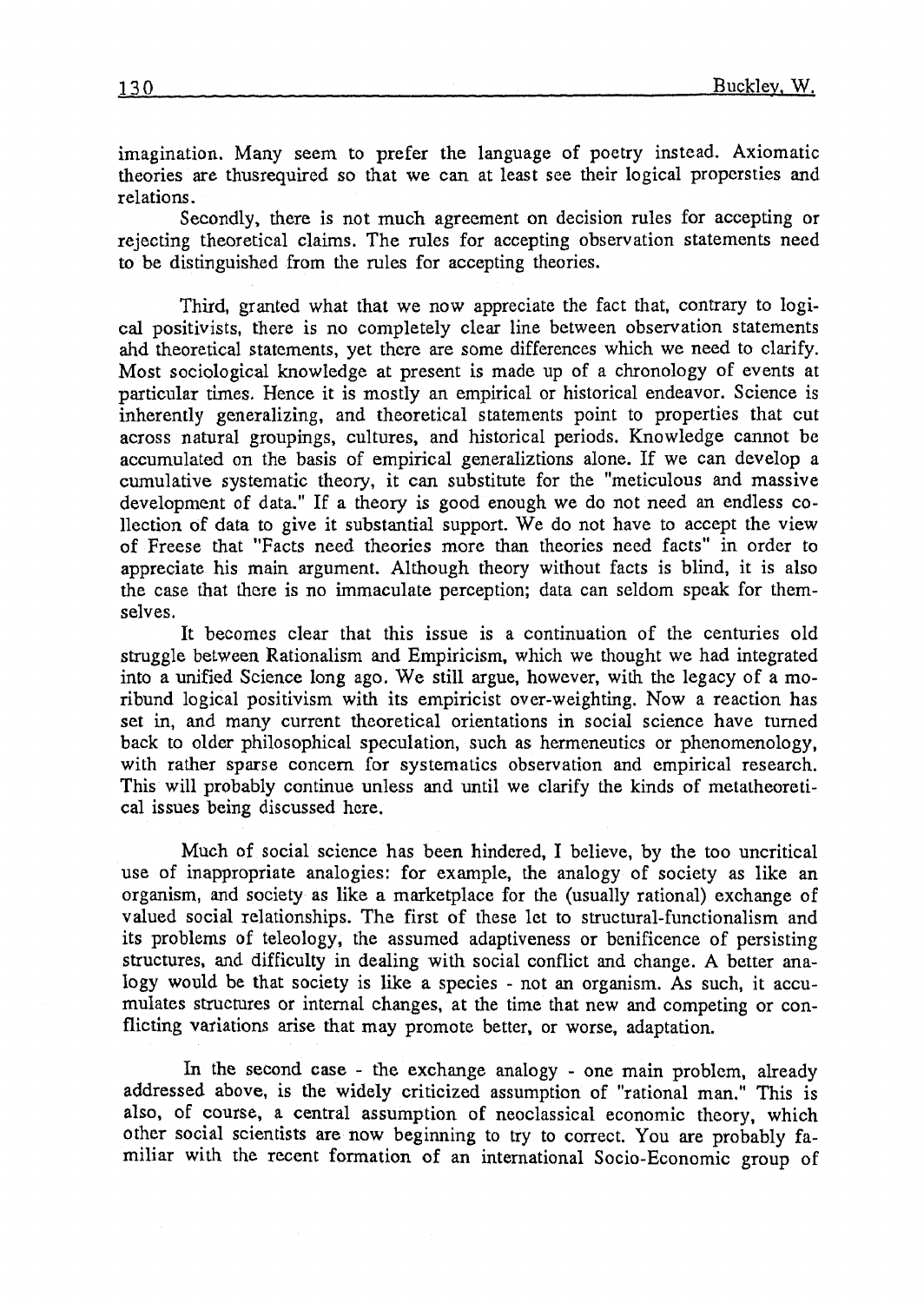imagination. Many seem to prefer the language of poetry instead. Axiomatic theories are thusrequired so that we can at least see their logical propcrsties and relations .

Secondly, there is not much agreement on decision rules for accepting or rejecting theoretical claims. The niles for accepting observation statements need to be distinguished from the rules for accepting theories.

Third, granted what that we now appreciate the fact that, contrary to logical positivists, there is no completely clcar line between observation statements ahd theoretical statements, yet there are some differences which we need to clarify. Most sociological knowledge at present is made up of a chronology of events at particular times. Hence it is mostly an empirical or historical endeavor. Science is inherently generalizing, and theoretical statements point to properties that cut across natural groupings, cultures, and historical periods. Knowledge cannot bc accumulated on the basis of empirical generaliztions alone. If we can develop a cumulative systematic theory, it can substitute for the "meticulous and massive development of data." If a theory is good enough we do not need an endless collection of data to give it substantial support. We do not have to accept the view of Freese that "Facts need theories more than theories need facts" in order to appreciate his main argument. Although theory without facts is blind, it is also the case that thcre is no immaculate perception; data can seldom speak for themselves.

It becomes clear that this issue is a continuation of the centuries old stniggle bctween Rationalism and Empiricism, which we thought we had integrated into a unified Science long ago. We still argue, however, with the legacy of a moribund logical positivism with its ernpiricist over-weighting. Now a reaction has set in, and many currcnt theoretical orientations in social science have tumed back to older philosophical speculation, such as hermeneutics or phenomenology, with rather sparse concem for systematics observation and empirical research. This will probably continue unless and until we clarify the kinds of metatheorctical issues being discussed here.

Much of social science has been hindered, 1 believe, by the too uncritical use of inappropriate analogies: for example, the analogy of society as like an organism, and society as like a marketplace for the (usually rational) exchange of valued social relationships. The first of these lct to structural-functionalism and its problems of teleology, the assumed adaptiveness or benificence of persisting structures, and difficulty in dealing with social conflict and change. A better analogy would be that society is like a species - not **an** organism. As such, it accumulates structures or internal changes, at the time that new and competing or conflicting variations arise that may promote better, or worse, adaptation.

In the second case - the exchange analogy - one main problcm, already addressed above, is the widely criticized assumption of "rational man." This is also, of course, a central assumption of neoclassical economic theory, which other social scientists are now beginning to try to correct. You are probably familiar with the rccent formation of an international Socio-Economic group of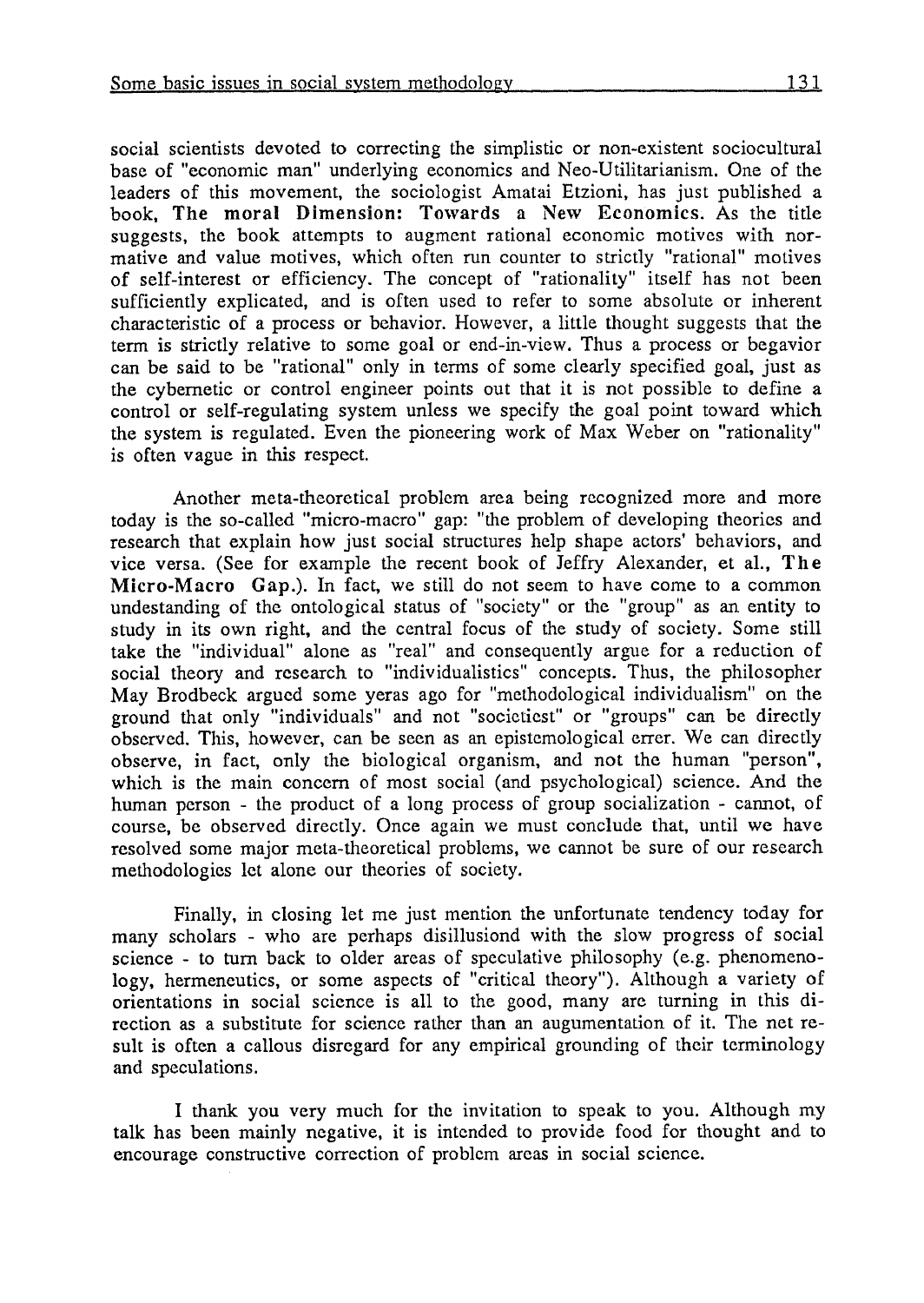social scientists devoted to correcting the simplistic or non-existent sociocultural base of "economic man" underlying economics and Neo-Utilitarianism. One of the leaders of this movement, the sociologist Amatai Etzioni, has just published a book, **The** moral Dimension: Tokvards a **New** Economics. As the title suggests, the book attempts to augment rational economic motives with normative and value motives, which often run counter to strictly "rational" motives of self-interest or efficiency. The concept of "rationality" itself has not been sufficiently explicated, and is often used to refer to some absolute or inherent characteristic of a process or behavior. However, a little thought suggests that the term is strictly relative to some goal or end-in-view. Thus a process or begavior can be said to be "rational" only in terms of some clearly specified goal, just as the cybernetic or control engineer points out that it is not possible to define a control or self-regulating system unless we specify the goal point toward which the system is regulated. Even the pioneering work of Max Weber on "rationality" is often vague in this respect.

Another meta-theoretical problem area being recognized more and more today is the so-called "micro-macro" gap: "the problem of developing theories and research that explain how just social structures hclp shape actors' bchaviors, and vice versa. (See for example the recent book of Jeffry Alexander, et al., **The**  Micro-Macro Gap.). In fact, we still do not seem to have come to a common undestanding of the ontological status of "society" or the "group" as an entity to study in its own right, and the central focus of the study of society. Some still take the "individual" alone as "real" and consequently argue for a reduction of social theory and rcsearch to "individualistics" concepts. Thus, the philosopher May Brodbeck argucd some yeras ago for "methodological individualism" on the ground that only "individuals" and not "socictiest" or "groups" can be directly observed. This, however, can be seen as an epistemological errer. We can directly observe, in fact, only the biological organism, and not the human "person", which is the main concem of most social (and psychological) science. And the human person - the praduct of a long process of group socialization - cannot, of course, be observed dircctly. Once again we must conclude that, until we have resolved some major meta-theoretical problems, we cannot be sure of our rescarch methodologies let alone our theories of society.

Finally, in closing let me just mention the unfortunate tendency today for many scholars - who are perhaps disillusiond with the slow progress of social science - to turn back to older arcas of speculative philosophy (e.g. phenomenology, hermeneutics, or some aspccts of "critica1 theory"). Although a variety of orientations in social science is al1 to the good, many are turning in this direction as a substitute for scicnce rather than an augumentation of it. The net result is often a callous disrcgard for any empirical grounding of their terminology and speculations.

1 thank you very much for thc invitation to speak to you. Although my talk has been mainly negative, it is intended to provide food for thought and to encourage constructivc correction of problcm arcas in social scicnce.